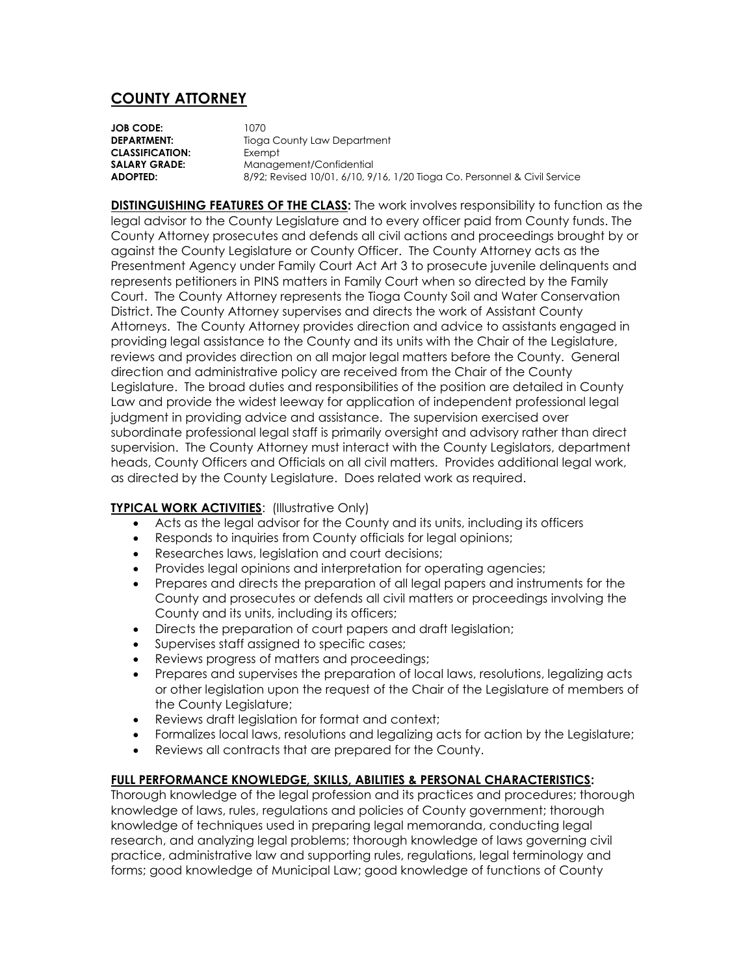## **COUNTY ATTORNEY**

**JOB CODE:** 1070 **DEPARTMENT:** Tioga County Law Department **CLASSIFICATION:** Exempt **SALARY GRADE:** Management/Confidential **ADOPTED:** 8/92; Revised 10/01, 6/10, 9/16, 1/20 Tioga Co. Personnel & Civil Service

**DISTINGUISHING FEATURES OF THE CLASS:** The work involves responsibility to function as the legal advisor to the County Legislature and to every officer paid from County funds. The County Attorney prosecutes and defends all civil actions and proceedings brought by or against the County Legislature or County Officer. The County Attorney acts as the Presentment Agency under Family Court Act Art 3 to prosecute juvenile delinquents and represents petitioners in PINS matters in Family Court when so directed by the Family Court. The County Attorney represents the Tioga County Soil and Water Conservation District. The County Attorney supervises and directs the work of Assistant County Attorneys. The County Attorney provides direction and advice to assistants engaged in providing legal assistance to the County and its units with the Chair of the Legislature, reviews and provides direction on all major legal matters before the County. General direction and administrative policy are received from the Chair of the County Legislature. The broad duties and responsibilities of the position are detailed in County Law and provide the widest leeway for application of independent professional legal judgment in providing advice and assistance. The supervision exercised over subordinate professional legal staff is primarily oversight and advisory rather than direct supervision. The County Attorney must interact with the County Legislators, department heads, County Officers and Officials on all civil matters. Provides additional legal work, as directed by the County Legislature. Does related work as required.

## **TYPICAL WORK ACTIVITIES**: (Illustrative Only)

- Acts as the legal advisor for the County and its units, including its officers
- Responds to inquiries from County officials for legal opinions;
- Researches laws, legislation and court decisions;
- Provides legal opinions and interpretation for operating agencies;
- Prepares and directs the preparation of all legal papers and instruments for the County and prosecutes or defends all civil matters or proceedings involving the County and its units, including its officers;
- Directs the preparation of court papers and draft legislation;
- Supervises staff assigned to specific cases;
- Reviews progress of matters and proceedings;
- Prepares and supervises the preparation of local laws, resolutions, legalizing acts or other legislation upon the request of the Chair of the Legislature of members of the County Legislature;
- Reviews draft legislation for format and context;
- Formalizes local laws, resolutions and legalizing acts for action by the Legislature;
- Reviews all contracts that are prepared for the County.

## **FULL PERFORMANCE KNOWLEDGE, SKILLS, ABILITIES & PERSONAL CHARACTERISTICS:**

Thorough knowledge of the legal profession and its practices and procedures; thorough knowledge of laws, rules, regulations and policies of County government; thorough knowledge of techniques used in preparing legal memoranda, conducting legal research, and analyzing legal problems; thorough knowledge of laws governing civil practice, administrative law and supporting rules, regulations, legal terminology and forms; good knowledge of Municipal Law; good knowledge of functions of County